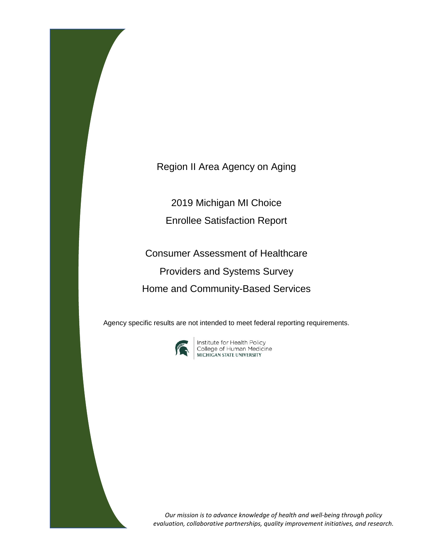Region II Area Agency on Aging

2019 Michigan MI Choice

Enrollee Satisfaction Report

Consumer Assessment of Healthcare Providers and Systems Survey Home and Community-Based Services

Agency specific results are not intended to meet federal reporting requirements.



**Institute for Health Policy<br>College of Human Medicine<br>MICHIGAN STATE UNIVERSITY** 

*Our mission is to advance knowledge of health and well-being through policy evaluation, collaborative partnerships, quality improvement initiatives, and research.*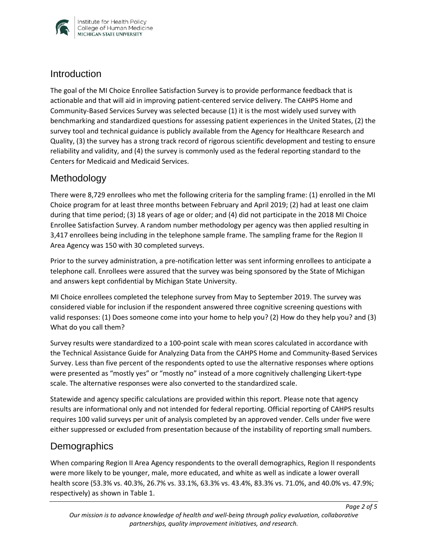

### **Introduction**

The goal of the MI Choice Enrollee Satisfaction Survey is to provide performance feedback that is actionable and that will aid in improving patient-centered service delivery. The CAHPS Home and Community-Based Services Survey was selected because (1) it is the most widely used survey with benchmarking and standardized questions for assessing patient experiences in the United States, (2) the survey tool and technical guidance is publicly available from the Agency for Healthcare Research and Quality, (3) the survey has a strong track record of rigorous scientific development and testing to ensure reliability and validity, and (4) the survey is commonly used as the federal reporting standard to the Centers for Medicaid and Medicaid Services.

# Methodology

There were 8,729 enrollees who met the following criteria for the sampling frame: (1) enrolled in the MI Choice program for at least three months between February and April 2019; (2) had at least one claim during that time period; (3) 18 years of age or older; and (4) did not participate in the 2018 MI Choice Enrollee Satisfaction Survey. A random number methodology per agency was then applied resulting in 3,417 enrollees being including in the telephone sample frame. The sampling frame for the Region II Area Agency was 150 with 30 completed surveys.

Prior to the survey administration, a pre-notification letter was sent informing enrollees to anticipate a telephone call. Enrollees were assured that the survey was being sponsored by the State of Michigan and answers kept confidential by Michigan State University.

MI Choice enrollees completed the telephone survey from May to September 2019. The survey was considered viable for inclusion if the respondent answered three cognitive screening questions with valid responses: (1) Does someone come into your home to help you? (2) How do they help you? and (3) What do you call them?

Survey results were standardized to a 100-point scale with mean scores calculated in accordance with the Technical Assistance Guide for Analyzing Data from the CAHPS Home and Community-Based Services Survey. Less than five percent of the respondents opted to use the alternative responses where options were presented as "mostly yes" or "mostly no" instead of a more cognitively challenging Likert-type scale. The alternative responses were also converted to the standardized scale.

Statewide and agency specific calculations are provided within this report. Please note that agency results are informational only and not intended for federal reporting. Official reporting of CAHPS results requires 100 valid surveys per unit of analysis completed by an approved vender. Cells under five were either suppressed or excluded from presentation because of the instability of reporting small numbers.

# **Demographics**

When comparing Region II Area Agency respondents to the overall demographics, Region II respondents were more likely to be younger, male, more educated, and white as well as indicate a lower overall health score (53.3% vs. 40.3%, 26.7% vs. 33.1%, 63.3% vs. 43.4%, 83.3% vs. 71.0%, and 40.0% vs. 47.9%; respectively) as shown in Table 1.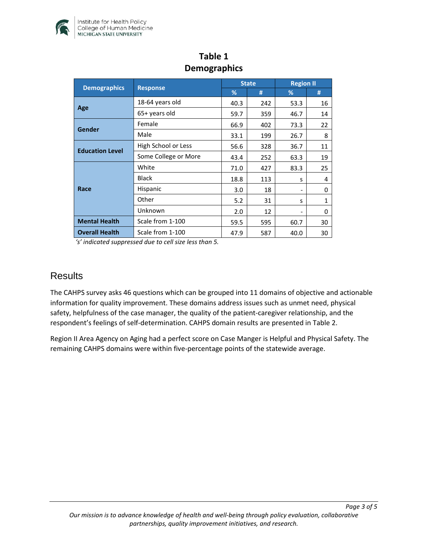

| <b>Demographics</b>    | <b>Response</b>      | <b>State</b> |     | <b>Region II</b>             |              |
|------------------------|----------------------|--------------|-----|------------------------------|--------------|
|                        |                      | ℅            | #   | %                            | #            |
| Age                    | 18-64 years old      | 40.3         | 242 | 53.3                         | 16           |
|                        | 65+ years old        | 59.7         | 359 | 46.7                         | 14           |
| Gender                 | Female               | 66.9         | 402 | 73.3                         | 22           |
|                        | Male                 | 33.1         | 199 | 26.7                         | 8            |
| <b>Education Level</b> | High School or Less  | 56.6         | 328 | 36.7                         | 11           |
|                        | Some College or More | 43.4         | 252 | 63.3                         | 19           |
| Race                   | White                | 71.0         | 427 | 83.3                         | 25           |
|                        | <b>Black</b>         | 18.8         | 113 | s                            | 4            |
|                        | Hispanic             | 3.0          | 18  | $\qquad \qquad \blacksquare$ | 0            |
|                        | Other                | 5.2          | 31  | S                            | $\mathbf{1}$ |
|                        | Unknown              | 2.0          | 12  | -                            | 0            |
| <b>Mental Health</b>   | Scale from 1-100     | 59.5         | 595 | 60.7                         | 30           |
| <b>Overall Health</b>  | Scale from 1-100     | 47.9         | 587 | 40.0                         | 30           |

# **Table 1 Demographics**

*'s' indicated suppressed due to cell size less than 5.* 

#### **Results**

The CAHPS survey asks 46 questions which can be grouped into 11 domains of objective and actionable information for quality improvement. These domains address issues such as unmet need, physical safety, helpfulness of the case manager, the quality of the patient-caregiver relationship, and the respondent's feelings of self-determination. CAHPS domain results are presented in Table 2.

Region II Area Agency on Aging had a perfect score on Case Manger is Helpful and Physical Safety. The remaining CAHPS domains were within five-percentage points of the statewide average.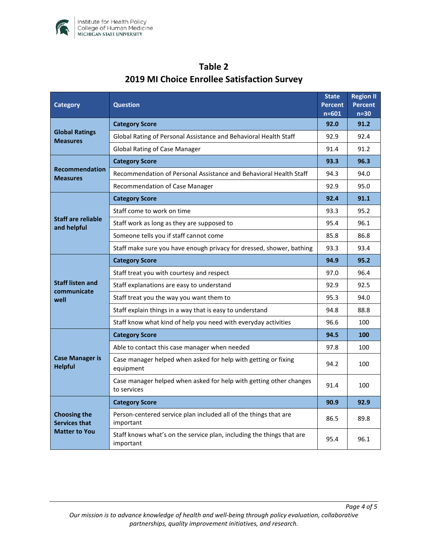

| <b>Category</b>                                                     | <b>Question</b>                                                                    |      | <b>Region II</b><br><b>Percent</b><br>$n=30$ |
|---------------------------------------------------------------------|------------------------------------------------------------------------------------|------|----------------------------------------------|
| <b>Global Ratings</b><br><b>Measures</b>                            | <b>Category Score</b>                                                              |      | 91.2                                         |
|                                                                     | Global Rating of Personal Assistance and Behavioral Health Staff                   |      | 92.4                                         |
|                                                                     | <b>Global Rating of Case Manager</b>                                               |      | 91.2                                         |
| <b>Recommendation</b><br><b>Measures</b>                            | <b>Category Score</b>                                                              |      | 96.3                                         |
|                                                                     | Recommendation of Personal Assistance and Behavioral Health Staff                  |      | 94.0                                         |
|                                                                     | Recommendation of Case Manager                                                     | 92.9 | 95.0                                         |
| <b>Staff are reliable</b><br>and helpful                            | <b>Category Score</b>                                                              | 92.4 | 91.1                                         |
|                                                                     | Staff come to work on time                                                         | 93.3 | 95.2                                         |
|                                                                     | Staff work as long as they are supposed to                                         | 95.4 | 96.1                                         |
|                                                                     | Someone tells you if staff cannot come                                             | 85.8 | 86.8                                         |
|                                                                     | Staff make sure you have enough privacy for dressed, shower, bathing               | 93.3 | 93.4                                         |
| <b>Staff listen and</b><br>communicate<br>well                      | <b>Category Score</b>                                                              | 94.9 | 95.2                                         |
|                                                                     | Staff treat you with courtesy and respect                                          | 97.0 | 96.4                                         |
|                                                                     | Staff explanations are easy to understand                                          |      | 92.5                                         |
|                                                                     | Staff treat you the way you want them to                                           |      | 94.0                                         |
|                                                                     | Staff explain things in a way that is easy to understand                           |      | 88.8                                         |
|                                                                     | Staff know what kind of help you need with everyday activities                     | 96.6 | 100                                          |
| <b>Case Manager is</b><br><b>Helpful</b>                            | <b>Category Score</b>                                                              | 94.5 | 100                                          |
|                                                                     | Able to contact this case manager when needed                                      | 97.8 | 100                                          |
|                                                                     | Case manager helped when asked for help with getting or fixing<br>equipment        |      | 100                                          |
|                                                                     | Case manager helped when asked for help with getting other changes<br>to services  | 91.4 | 100                                          |
| <b>Choosing the</b><br><b>Services that</b><br><b>Matter to You</b> | <b>Category Score</b>                                                              | 90.9 | 92.9                                         |
|                                                                     | Person-centered service plan included all of the things that are<br>important      |      | 89.8                                         |
|                                                                     | Staff knows what's on the service plan, including the things that are<br>important | 95.4 | 96.1                                         |

# **Table 2 2019 MI Choice Enrollee Satisfaction Survey**